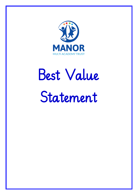

# Best Value Statement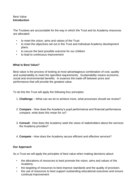# Best Value **Introduction**

The Trustees are accountable for the way in which the Trust and its Academy resources are allocated:

- to meet the vision, aims and values of the Trust
- to meet the objectives set out in the Trust and individual Academy development plans.
- to secure the best possible outcome for our children
- to lead to continuous improvement

### **What Is Best Value?**

Best value is the process of looking at most advantageous combination of cost, quality and sustainability to meet the specified requirements. Sustainability means economic, social and environmental benefits. In essence the trade-off between price and performance that will provide the greatest value.

To do this the Trust will apply the following four principles:

- 1. **Challenge** What can we do to achieve more, what processes should we review?
- 2. **Compare**  How does the Academy's pupil performance and financial performance compare, what does this mean for us?
- 3. **Consult**  How does the Academy seek the views of stakeholders about the services the Academy provides?
- 4. **Compete**  How does the Academy secure efficient and effective services?

# **Our Approach**

As a Trust we will apply the principles of best value when making decisions about:

- the allocations of resources to best promote the vision, aims and values of the Academy.
- the targeting of resources to best improve standards and the quality of provision.
- the use of resources to best support outstanding educational outcomes and ensure continual improvement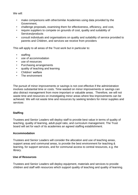We will:

- make comparisons with other/similar Academies using data provided by the Government,
- challenge proposals, examining them for effectiveness, efficiency, and cost,
- require suppliers to compete on grounds of cost, quality and suitability of Services/products
- consult individuals and organisations on quality and suitability of service provided to parents and Children, and services we receive from providers

This will apply to all areas of the Trust work but in particular to:

- staffing
- use of accommodation
- use of resources
- Purchasing arrangements
- quality of teaching and learning
- Children' welfare
- The environment

The pursuit of minor improvements or savings is not cost effective if the administration involves substantial time or costs. Time wasted on minor improvements or savings can also distract management from more important or valuable areas. Therefore, we will not waste time and resources on investigating minor areas where few improvements can be achieved. We will not waste time and resources by seeking tenders for minor supplies and services

### **Staffing**

Trustees and Senior Leaders will deploy staff to provide best value in terms of quality of teaching, quality of learning, adult-pupil ratio, and curriculum management. The Trust board will set for each of its academies an agreed staffing establishment.

### **Accommodation**

Trustees and Senior Leaders will consider the allocation and use of teaching areas, support areas and communal areas, to provide the best environment for teaching & learning, for support services, and for communal access to central resources, e.g. the library.

### **Use of Resources**

Trustees and Senior Leaders will deploy equipment, materials and services to provide children and staff with resources which support quality of teaching and quality of learning.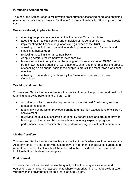# **Purchasing Arrangements**

Trustees, and Senior Leaders will develop procedures for assessing need, and obtaining goods and services which provide "best value" in terms of suitability, efficiency, time, and cost.

### **Measures already in place include**:

- adopting the processes outlined in the Academies Trust Handbook
- adopting the Financial controls and principles of the Academies Trust Handbook
- implementing the financial regulations and guidance of the Trust
- agreeing to the limits for competitive tendering procedures (e.g. for goods and services above **£5,000**)
- reviewing these limits on an annual basis.
- Adopting central procurement wherever possible
- Minimising office time by the purchase of goods or services under **£5,000** direct from known, reliable suppliers (e.g. stationery, small equipment) as per the process of checking on an annual basis these suppliers are still the most reliable and cost effective.
- adhering to the tendering limits set by the Finance and general purposes Committee.

# **Teaching and Learning**

Trustees and Senior Leaders will review the quality of curriculum provision and quality of teaching, to provide parents and Children with:

- a curriculum which meets the requirements of the National Curriculum, and the needs of the student
- teaching which builds on previous learning and has high expectations of children's achievement.
- reviewing the quality of children's learning, by cohort, class and group, to provide teaching which enables children to achieve nationally expected progress.
- performance data to monitor children' performance against national benchmarks.

### **Children' Welfare**

Trustees and Senior Leaders will review the quality of the Academy environment and the Academy ethos, in order to provide a supportive environment conducive to learning and recreation. The results of which will be reflected in the Trust development plan and Individuals School's development plans.

# **Environment**

Trustees, Senior Leaders will review the quality of the Academy environment and equipment, carrying out risk assessments where appropriate, in order to provide a safe, vibrant working environment for children, staff and visitors.